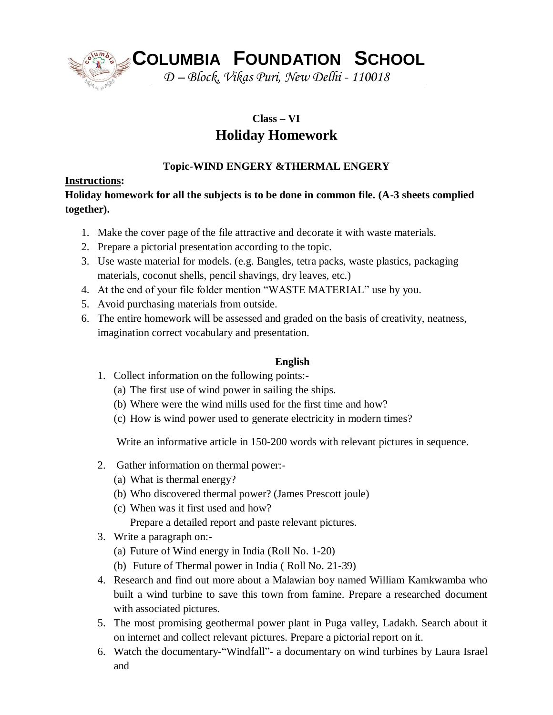

**COLUMBIA FOUNDATION SCHOOL**

*D – Block, Vikas Puri, New Delhi - 110018*

# **Class – VI Holiday Homework**

## **Topic-WIND ENGERY &THERMAL ENGERY**

### **Instructions:**

## **Holiday homework for all the subjects is to be done in common file. (A-3 sheets complied together).**

- 1. Make the cover page of the file attractive and decorate it with waste materials.
- 2. Prepare a pictorial presentation according to the topic.
- 3. Use waste material for models. (e.g. Bangles, tetra packs, waste plastics, packaging materials, coconut shells, pencil shavings, dry leaves, etc.)
- 4. At the end of your file folder mention "WASTE MATERIAL" use by you.
- 5. Avoid purchasing materials from outside.
- 6. The entire homework will be assessed and graded on the basis of creativity, neatness, imagination correct vocabulary and presentation.

## **English**

- 1. Collect information on the following points:-
	- (a) The first use of wind power in sailing the ships.
	- (b) Where were the wind mills used for the first time and how?
	- (c) How is wind power used to generate electricity in modern times?

Write an informative article in 150-200 words with relevant pictures in sequence.

- 2. Gather information on thermal power:-
	- (a) What is thermal energy?
	- (b) Who discovered thermal power? (James Prescott joule)
	- (c) When was it first used and how?

Prepare a detailed report and paste relevant pictures.

- 3. Write a paragraph on:-
	- (a) Future of Wind energy in India (Roll No. 1-20)
	- (b) Future of Thermal power in India ( Roll No. 21-39)
- 4. Research and find out more about a Malawian boy named William Kamkwamba who built a wind turbine to save this town from famine. Prepare a researched document with associated pictures.
- 5. The most promising geothermal power plant in Puga valley, Ladakh. Search about it on internet and collect relevant pictures. Prepare a pictorial report on it.
- 6. Watch the documentary-"Windfall"- a documentary on wind turbines by Laura Israel and